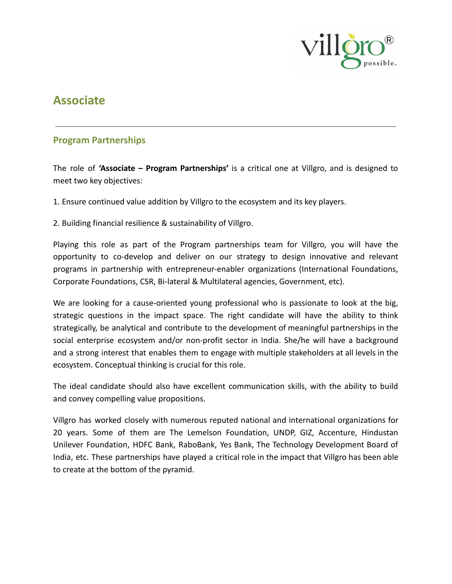

# **Associate**

## **Program Partnerships**

The role of **'Associate – Program Partnerships'** is a critical one at Villgro, and is designed to meet two key objectives:

1. Ensure continued value addition by Villgro to the ecosystem and its key players.

2. Building financial resilience & sustainability of Villgro.

Playing this role as part of the Program partnerships team for Villgro, you will have the opportunity to co-develop and deliver on our strategy to design innovative and relevant programs in partnership with entrepreneur-enabler organizations (International Foundations, Corporate Foundations, CSR, Bi-lateral & Multilateral agencies, Government, etc).

We are looking for a cause-oriented young professional who is passionate to look at the big, strategic questions in the impact space. The right candidate will have the ability to think strategically, be analytical and contribute to the development of meaningful partnerships in the social enterprise ecosystem and/or non-profit sector in India. She/he will have a background and a strong interest that enables them to engage with multiple stakeholders at all levels in the ecosystem. Conceptual thinking is crucial for this role.

The ideal candidate should also have excellent communication skills, with the ability to build and convey compelling value propositions.

Villgro has worked closely with numerous reputed national and international organizations for 20 years. Some of them are The Lemelson Foundation, UNDP, GIZ, Accenture, Hindustan Unilever Foundation, HDFC Bank, RaboBank, Yes Bank, The Technology Development Board of India, etc. These partnerships have played a critical role in the impact that Villgro has been able to create at the bottom of the pyramid.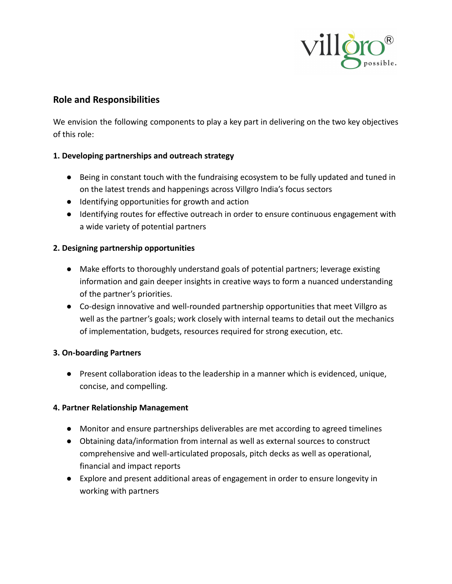

## **Role and Responsibilities**

We envision the following components to play a key part in delivering on the two key objectives of this role:

#### **1. Developing partnerships and outreach strategy**

- Being in constant touch with the fundraising ecosystem to be fully updated and tuned in on the latest trends and happenings across Villgro India's focus sectors
- Identifying opportunities for growth and action
- Identifying routes for effective outreach in order to ensure continuous engagement with a wide variety of potential partners

#### **2. Designing partnership opportunities**

- Make efforts to thoroughly understand goals of potential partners; leverage existing information and gain deeper insights in creative ways to form a nuanced understanding of the partner's priorities.
- Co-design innovative and well-rounded partnership opportunities that meet Villgro as well as the partner's goals; work closely with internal teams to detail out the mechanics of implementation, budgets, resources required for strong execution, etc.

#### **3. On-boarding Partners**

● Present collaboration ideas to the leadership in a manner which is evidenced, unique, concise, and compelling.

#### **4. Partner Relationship Management**

- Monitor and ensure partnerships deliverables are met according to agreed timelines
- Obtaining data/information from internal as well as external sources to construct comprehensive and well-articulated proposals, pitch decks as well as operational, financial and impact reports
- Explore and present additional areas of engagement in order to ensure longevity in working with partners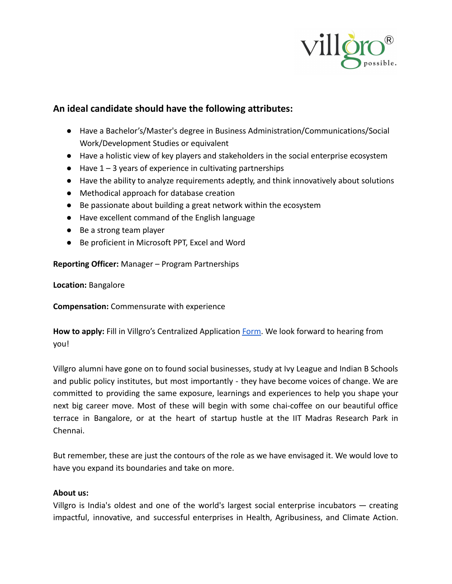

## **An ideal candidate should have the following attributes:**

- Have a Bachelor's/Master's degree in Business Administration/Communications/Social Work/Development Studies or equivalent
- Have a holistic view of key players and stakeholders in the social enterprise ecosystem
- $\bullet$  Have 1 3 years of experience in cultivating partnerships
- Have the ability to analyze requirements adeptly, and think innovatively about solutions
- Methodical approach for database creation
- Be passionate about building a great network within the ecosystem
- Have excellent command of the English language
- Be a strong team player
- Be proficient in Microsoft PPT, Excel and Word

**Reporting Officer:** Manager – Program Partnerships

**Location:** Bangalore

**Compensation:** Commensurate with experience

How to apply: Fill in Villgro's Centralized Application [Form.](https://docs.google.com/forms/d/e/1FAIpQLSfLQb8v34NWZuJG10T7Td-21j7cQw20z6naEPeScYUOKf718w/viewform) We look forward to hearing from you!

Villgro alumni have gone on to found social businesses, study at Ivy League and Indian B Schools and public policy institutes, but most importantly - they have become voices of change. We are committed to providing the same exposure, learnings and experiences to help you shape your next big career move. Most of these will begin with some chai-coffee on our beautiful office terrace in Bangalore, or at the heart of startup hustle at the IIT Madras Research Park in Chennai.

But remember, these are just the contours of the role as we have envisaged it. We would love to have you expand its boundaries and take on more.

#### **About us:**

Villgro is India's oldest and one of the world's largest social enterprise incubators — creating impactful, innovative, and successful enterprises in Health, Agribusiness, and Climate Action.